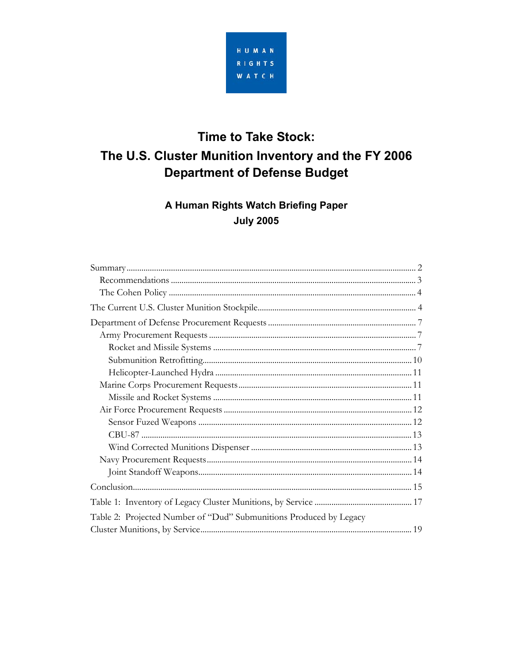

# **Time to Take Stock:** The U.S. Cluster Munition Inventory and the FY 2006 **Department of Defense Budget**

## A Human Rights Watch Briefing Paper **July 2005**

| Table 2: Projected Number of "Dud" Submunitions Produced by Legacy |  |
|--------------------------------------------------------------------|--|
|                                                                    |  |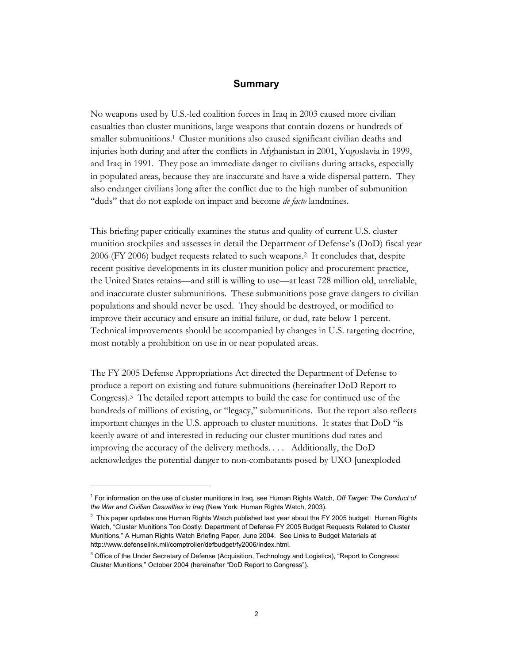## **Summary**

<span id="page-1-0"></span>No weapons used by U.S.-led coalition forces in Iraq in 2003 caused more civilian casualties than cluster munitions, large weapons that contain dozens or hundreds of smaller submunitions.[1](#page-1-1) Cluster munitions also caused significant civilian deaths and injuries both during and after the conflicts in Afghanistan in 2001, Yugoslavia in 1999, and Iraq in 1991. They pose an immediate danger to civilians during attacks, especially in populated areas, because they are inaccurate and have a wide dispersal pattern. They also endanger civilians long after the conflict due to the high number of submunition "duds" that do not explode on impact and become *de facto* landmines.

This briefing paper critically examines the status and quality of current U.S. cluster munition stockpiles and assesses in detail the Department of Defense's (DoD) fiscal year 2006 (FY 2006) budget requests related to such weapons.[2](#page-1-2) It concludes that, despite recent positive developments in its cluster munition policy and procurement practice, the United States retains—and still is willing to use—at least 728 million old, unreliable, and inaccurate cluster submunitions. These submunitions pose grave dangers to civilian populations and should never be used. They should be destroyed, or modified to improve their accuracy and ensure an initial failure, or dud, rate below 1 percent. Technical improvements should be accompanied by changes in U.S. targeting doctrine, most notably a prohibition on use in or near populated areas.

The FY 2005 Defense Appropriations Act directed the Department of Defense to produce a report on existing and future submunitions (hereinafter DoD Report to Congress)[.3](#page-1-3) The detailed report attempts to build the case for continued use of the hundreds of millions of existing, or "legacy," submunitions. But the report also reflects important changes in the U.S. approach to cluster munitions. It states that DoD "is keenly aware of and interested in reducing our cluster munitions dud rates and improving the accuracy of the delivery methods. . . . Additionally, the DoD acknowledges the potential danger to non-combatants posed by UXO [unexploded

<span id="page-1-1"></span><sup>1</sup> For information on the use of cluster munitions in Iraq, see Human Rights Watch, *Off Target: The Conduct of the War and Civilian Casualties in Iraq* (New York: Human Rights Watch, 2003).

<span id="page-1-2"></span> $^2$  This paper updates one Human Rights Watch published last year about the FY 2005 budget: Human Rights Watch, "Cluster Munitions Too Costly: Department of Defense FY 2005 Budget Requests Related to Cluster Munitions," A Human Rights Watch Briefing Paper, June 2004. See Links to Budget Materials at http://www.defenselink.mil/comptroller/defbudget/fy2006/index.html.

<span id="page-1-3"></span><sup>&</sup>lt;sup>3</sup> Office of the Under Secretary of Defense (Acquisition, Technology and Logistics), "Report to Congress: Cluster Munitions," October 2004 (hereinafter "DoD Report to Congress").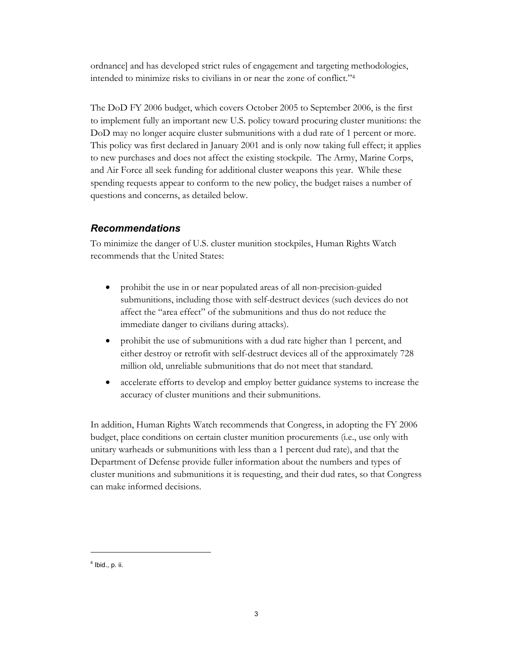<span id="page-2-0"></span>ordnance] and has developed strict rules of engagement and targeting methodologies, intended to minimize risks to civilians in or near the zone of conflict."[4](#page-2-1) 

The DoD FY 2006 budget, which covers October 2005 to September 2006, is the first to implement fully an important new U.S. policy toward procuring cluster munitions: the DoD may no longer acquire cluster submunitions with a dud rate of 1 percent or more. This policy was first declared in January 2001 and is only now taking full effect; it applies to new purchases and does not affect the existing stockpile. The Army, Marine Corps, and Air Force all seek funding for additional cluster weapons this year. While these spending requests appear to conform to the new policy, the budget raises a number of questions and concerns, as detailed below.

## *Recommendations*

To minimize the danger of U.S. cluster munition stockpiles, Human Rights Watch recommends that the United States:

- prohibit the use in or near populated areas of all non-precision-guided submunitions, including those with self-destruct devices (such devices do not affect the "area effect" of the submunitions and thus do not reduce the immediate danger to civilians during attacks).
- prohibit the use of submunitions with a dud rate higher than 1 percent, and either destroy or retrofit with self-destruct devices all of the approximately 728 million old, unreliable submunitions that do not meet that standard.
- accelerate efforts to develop and employ better guidance systems to increase the accuracy of cluster munitions and their submunitions.

In addition, Human Rights Watch recommends that Congress, in adopting the FY 2006 budget, place conditions on certain cluster munition procurements (i.e., use only with unitary warheads or submunitions with less than a 1 percent dud rate), and that the Department of Defense provide fuller information about the numbers and types of cluster munitions and submunitions it is requesting, and their dud rates, so that Congress can make informed decisions.

<span id="page-2-1"></span> $<sup>4</sup>$  Ibid., p. ii.</sup>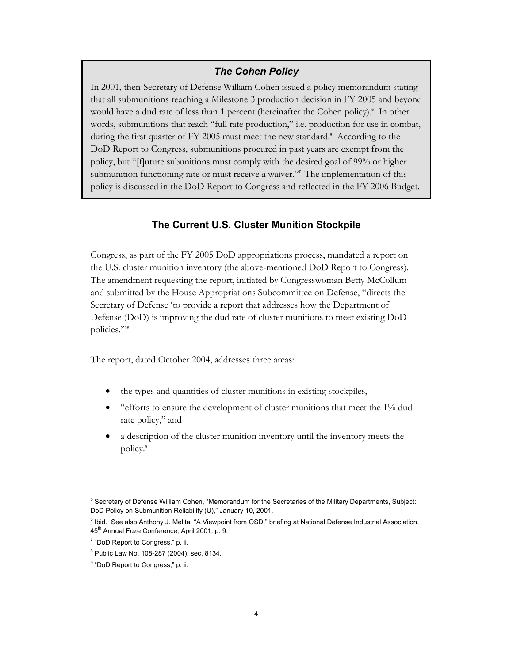## *The Cohen Policy*

<span id="page-3-0"></span>In 2001, then-Secretary of Defense William Cohen issued a policy memorandum stating that all submunitions reaching a Milestone 3 production decision in FY 2005 and beyond wouldhave a dud rate of less than 1 percent (hereinafter the Cohen policy).<sup>5</sup> In other words, submunitions that reach "full rate production," i.e. production for use in combat, duringthe first quarter of FY 2005 must meet the new standard.<sup>6</sup> According to the DoD Report to Congress, submunitions procured in past years are exempt from the policy, but "[f]uture subunitions must comply with the desired goal of 99% or higher submunition functioning rate or must receive a waiver."<sup>7</sup> The implementation of this policy is discussed in the DoD Report to Congress and reflected in the FY 2006 Budget.

## **The Current U.S. Cluster Munition Stockpile**

Congress, as part of the FY 2005 DoD appropriations process, mandated a report on the U.S. cluster munition inventory (the above-mentioned DoD Report to Congress). The amendment requesting the report, initiated by Congresswoman Betty McCollum and submitted by the House Appropriations Subcommittee on Defense, "directs the Secretary of Defense 'to provide a report that addresses how the Department of Defense (DoD) is improving the dud rate of cluster munitions to meet existing DoD policies.'"<sup>8</sup> 

The report, dated October 2004, addresses three areas:

- the types and quantities of cluster munitions in existing stockpiles,
- "efforts to ensure the development of cluster munitions that meet the 1% dud rate policy," and
- a description of the cluster munition inventory until the inventory meets the policy.[9](#page-3-5)

<span id="page-3-1"></span><sup>&</sup>lt;sup>5</sup> Secretary of Defense William Cohen, "Memorandum for the Secretaries of the Military Departments, Subject: DoD Policy on Submunition Reliability (U)," January 10, 2001.

<span id="page-3-2"></span><sup>&</sup>lt;sup>6</sup> Ibid. See also Anthony J. Melita, "A Viewpoint from OSD," briefing at National Defense Industrial Association, 45<sup>th</sup> Annual Fuze Conference, April 2001, p. 9.

<span id="page-3-3"></span><sup>&</sup>lt;sup>7</sup> "DoD Report to Congress," p. ii.

<span id="page-3-4"></span><sup>8</sup> Public Law No. 108-287 (2004), sec. 8134.

<span id="page-3-5"></span><sup>&</sup>lt;sup>9</sup> "DoD Report to Congress," p. ii.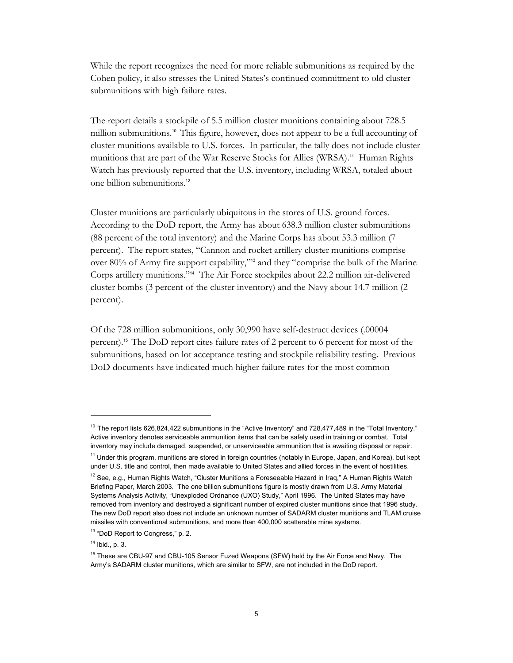While the report recognizes the need for more reliable submunitions as required by the Cohen policy, it also stresses the United States's continued commitment to old cluster submunitions with high failure rates.

The report details a stockpile of 5.5 million cluster munitions containing about 728.5 million submunitions.<sup>10</sup> This figure, however, does not appear to be a full accounting of cluster munitions available to U.S. forces. In particular, the tally does not include cluster munitions that are part of the War Reserve Stocks for Allies (WRSA).<sup>[11](#page-4-1)</sup> Human Rights Watch has previously reported that the U.S. inventory, including WRSA, totaled about one billion submunitions.[12](#page-4-2) 

Cluster munitions are particularly ubiquitous in the stores of U.S. ground forces. According to the DoD report, the Army has about 638.3 million cluster submunitions (88 percent of the total inventory) and the Marine Corps has about 53.3 million (7 percent). The report states, "Cannon and rocket artillery cluster munitions comprise over 80% of Army fire support capability,"[13](#page-4-3) and they "comprise the bulk of the Marine Corps artillery munitions."14The Air Force stockpiles about 22.2 million air-delivered cluster bombs (3 percent of the cluster inventory) and the Navy about 14.7 million (2 percent).

Of the 728 million submunitions, only 30,990 have self-destruct devices (.00004 percent).[15](#page-4-5) The DoD report cites failure rates of 2 percent to 6 percent for most of the submunitions, based on lot acceptance testing and stockpile reliability testing. Previous DoD documents have indicated much higher failure rates for the most common

<span id="page-4-0"></span> $10$  The report lists 626,824,422 submunitions in the "Active Inventory" and 728,477,489 in the "Total Inventory." Active inventory denotes serviceable ammunition items that can be safely used in training or combat. Total inventory may include damaged, suspended, or unserviceable ammunition that is awaiting disposal or repair.

<span id="page-4-1"></span><sup>&</sup>lt;sup>11</sup> Under this program, munitions are stored in foreign countries (notably in Europe, Japan, and Korea), but kept under U.S. title and control, then made available to United States and allied forces in the event of hostilities.

<span id="page-4-2"></span><sup>&</sup>lt;sup>12</sup> See, e.g., Human Rights Watch, "Cluster Munitions a Foreseeable Hazard in Iraq," A Human Rights Watch Briefing Paper, March 2003. The one billion submunitions figure is mostly drawn from U.S. Army Material Systems Analysis Activity, "Unexploded Ordnance (UXO) Study," April 1996.The United States may have removed from inventory and destroyed a significant number of expired cluster munitions since that 1996 study. The new DoD report also does not include an unknown number of SADARM cluster munitions and TLAM cruise missiles with conventional submunitions, and more than 400,000 scatterable mine systems.

<span id="page-4-3"></span><sup>&</sup>lt;sup>13</sup> "DoD Report to Congress," p. 2.

<span id="page-4-4"></span> $14$  Ibid., p. 3.

<span id="page-4-5"></span><sup>&</sup>lt;sup>15</sup> These are CBU-97 and CBU-105 Sensor Fuzed Weapons (SFW) held by the Air Force and Navy. The Army's SADARM cluster munitions, which are similar to SFW, are not included in the DoD report.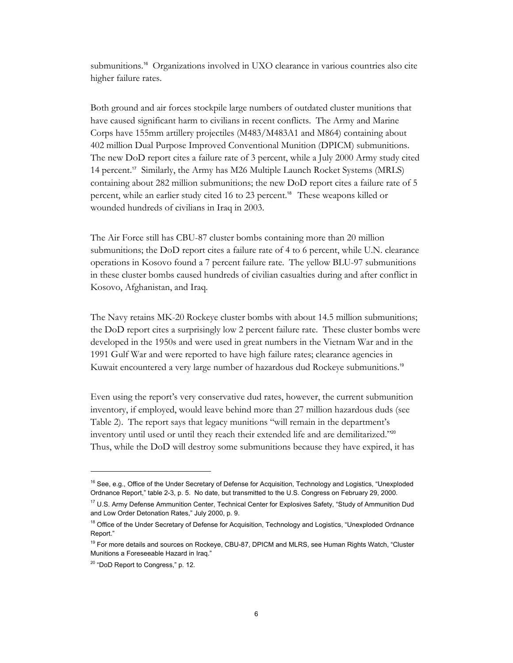submunitions. <sup>16</sup>Organizations involved in UXO clearance in various countries also cite higher failure rates.

Both ground and air forces stockpile large numbers of outdated cluster munitions that have caused significant harm to civilians in recent conflicts. The Army and Marine Corps have 155mm artillery projectiles (M483/M483A1 and M864) containing about 402 million Dual Purpose Improved Conventional Munition (DPICM) submunitions. The new DoD report cites a failure rate of 3 percent, while a July 2000 Army study cited 14percent.<sup>17</sup> Similarly, the Army has M26 Multiple Launch Rocket Systems (MRLS) containing about 282 million submunitions; the new DoD report cites a failure rate of 5 percent, while an earlier study cited 16 to 23 percent.<sup>18</sup> These weapons killed or wounded hundreds of civilians in Iraq in 2003.

The Air Force still has CBU-87 cluster bombs containing more than 20 million submunitions; the DoD report cites a failure rate of 4 to 6 percent, while U.N. clearance operations in Kosovo found a 7 percent failure rate. The yellow BLU-97 submunitions in these cluster bombs caused hundreds of civilian casualties during and after conflict in Kosovo, Afghanistan, and Iraq.

The Navy retains MK-20 Rockeye cluster bombs with about 14.5 million submunitions; the DoD report cites a surprisingly low 2 percent failure rate. These cluster bombs were developed in the 1950s and were used in great numbers in the Vietnam War and in the 1991 Gulf War and were reported to have high failure rates; clearance agencies in Kuwait encountered a very large number of hazardous dud Rockeye submunitions.[19](#page-5-3) 

Even using the report's very conservative dud rates, however, the current submunition inventory, if employed, would leave behind more than 27 million hazardous duds (see Table 2). The report says that legacy munitions "will remain in the department's inventory until used or until they reach their extended life and are demilitarized."[20](#page-5-4) Thus, while the DoD will destroy some submunitions because they have expired, it has

 $\ddot{\phantom{a}}$ 

<span id="page-5-0"></span><sup>&</sup>lt;sup>16</sup> See, e.g., Office of the Under Secretary of Defense for Acquisition, Technology and Logistics, "Unexploded Ordnance Report," table 2-3, p. 5. No date, but transmitted to the U.S. Congress on February 29, 2000.

<span id="page-5-1"></span><sup>&</sup>lt;sup>17</sup> U.S. Army Defense Ammunition Center, Technical Center for Explosives Safety, "Study of Ammunition Dud and Low Order Detonation Rates," July 2000, p. 9.

<span id="page-5-2"></span><sup>&</sup>lt;sup>18</sup> Office of the Under Secretary of Defense for Acquisition, Technology and Logistics, "Unexploded Ordnance Report."

<span id="page-5-3"></span><sup>&</sup>lt;sup>19</sup> For more details and sources on Rockeye, CBU-87, DPICM and MLRS, see Human Rights Watch, "Cluster Munitions a Foreseeable Hazard in Iraq."

<span id="page-5-4"></span><sup>&</sup>lt;sup>20</sup> "DoD Report to Congress," p. 12.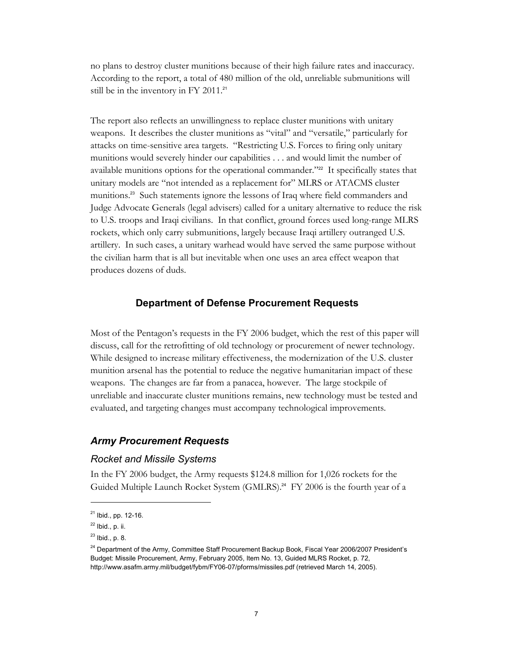<span id="page-6-0"></span>no plans to destroy cluster munitions because of their high failure rates and inaccuracy. According to the report, a total of 480 million of the old, unreliable submunitions will still be in the inventory in FY 2011.<sup>21</sup>

The report also reflects an unwillingness to replace cluster munitions with unitary weapons. It describes the cluster munitions as "vital" and "versatile," particularly for attacks on time-sensitive area targets. "Restricting U.S. Forces to firing only unitary munitions would severely hinder our capabilities . . . and would limit the number of available munitions options for the operational commander."<sup>[22](#page-6-2)</sup> It specifically states that unitary models are "not intended as a replacement for" MLRS or ATACMS cluster munitions.[23](#page-6-3) Such statements ignore the lessons of Iraq where field commanders and Judge Advocate Generals (legal advisers) called for a unitary alternative to reduce the risk to U.S. troops and Iraqi civilians. In that conflict, ground forces used long-range MLRS rockets, which only carry submunitions, largely because Iraqi artillery outranged U.S. artillery. In such cases, a unitary warhead would have served the same purpose without the civilian harm that is all but inevitable when one uses an area effect weapon that produces dozens of duds.

## **Department of Defense Procurement Requests**

Most of the Pentagon's requests in the FY 2006 budget, which the rest of this paper will discuss, call for the retrofitting of old technology or procurement of newer technology. While designed to increase military effectiveness, the modernization of the U.S. cluster munition arsenal has the potential to reduce the negative humanitarian impact of these weapons. The changes are far from a panacea, however. The large stockpile of unreliable and inaccurate cluster munitions remains, new technology must be tested and evaluated, and targeting changes must accompany technological improvements.

## *Army Procurement Requests*

#### *Rocket and Missile Systems*

In the FY 2006 budget, the Army requests \$124.8 million for 1,026 rockets for the Guided Multiple Launch Rocket System (GMLRS). [24](#page-6-4) FY 2006 is the fourth year of a

-

<span id="page-6-1"></span> $21$  Ibid., pp. 12-16.

<span id="page-6-2"></span> $22$  Ibid., p. ii.

<span id="page-6-3"></span> $23$  Ibid., p. 8.

<span id="page-6-4"></span><sup>&</sup>lt;sup>24</sup> Department of the Army, Committee Staff Procurement Backup Book, Fiscal Year 2006/2007 President's Budget: Missile Procurement, Army, February 2005, Item No. 13, Guided MLRS Rocket, p. 72, http://www.asafm.army.mil/budget/fybm/FY06-07/pforms/missiles.pdf (retrieved March 14, 2005).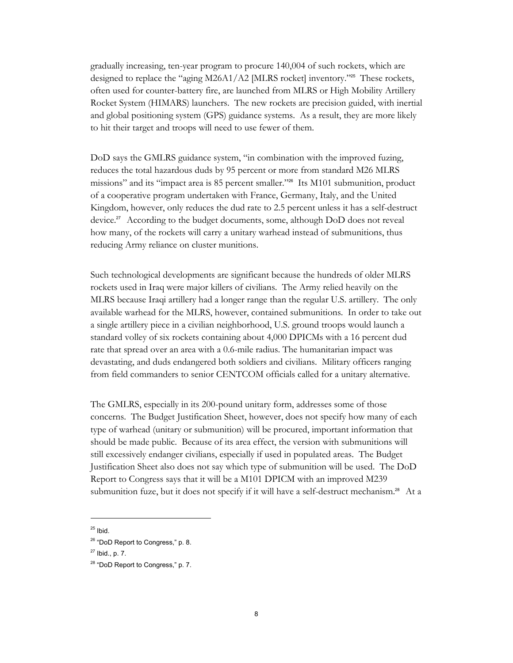gradually increasing, ten-year program to procure 140,004 of such rockets, which are designedto replace the "aging M26A1/A2 [MLRS rocket] inventory."<sup>25</sup> These rockets, often used for counter-battery fire, are launched from MLRS or High Mobility Artillery Rocket System (HIMARS) launchers. The new rockets are precision guided, with inertial and global positioning system (GPS) guidance systems. As a result, they are more likely to hit their target and troops will need to use fewer of them.

DoD says the GMLRS guidance system, "in combination with the improved fuzing, reduces the total hazardous duds by 95 percent or more from standard M26 MLRS missions" and its "impact area is 85 percent smaller."26Its M101 submunition, product of a cooperative program undertaken with France, Germany, Italy, and the United Kingdom, however, only reduces the dud rate to 2.5 percent unless it has a self-destruct device.<sup>27</sup>According to the budget documents, some, although DoD does not reveal how many, of the rockets will carry a unitary warhead instead of submunitions, thus reducing Army reliance on cluster munitions.

Such technological developments are significant because the hundreds of older MLRS rockets used in Iraq were major killers of civilians. The Army relied heavily on the MLRS because Iraqi artillery had a longer range than the regular U.S. artillery. The only available warhead for the MLRS, however, contained submunitions. In order to take out a single artillery piece in a civilian neighborhood, U.S. ground troops would launch a standard volley of six rockets containing about 4,000 DPICMs with a 16 percent dud rate that spread over an area with a 0.6-mile radius. The humanitarian impact was devastating, and duds endangered both soldiers and civilians. Military officers ranging from field commanders to senior CENTCOM officials called for a unitary alternative.

The GMLRS, especially in its 200-pound unitary form, addresses some of those concerns. The Budget Justification Sheet, however, does not specify how many of each type of warhead (unitary or submunition) will be procured, important information that should be made public. Because of its area effect, the version with submunitions will still excessively endanger civilians, especially if used in populated areas. The Budget Justification Sheet also does not say which type of submunition will be used. The DoD Report to Congress says that it will be a M101 DPICM with an improved M239 submunition fuze, but it does not specify if it will have a self-destruct mechanism.<sup>28</sup> At a

-

<span id="page-7-0"></span> $25$  Ibid.

<span id="page-7-1"></span><sup>&</sup>lt;sup>26</sup> "DoD Report to Congress," p. 8.

<span id="page-7-2"></span> $27$  Ibid., p. 7.

<span id="page-7-3"></span><sup>&</sup>lt;sup>28</sup> "DoD Report to Congress," p. 7.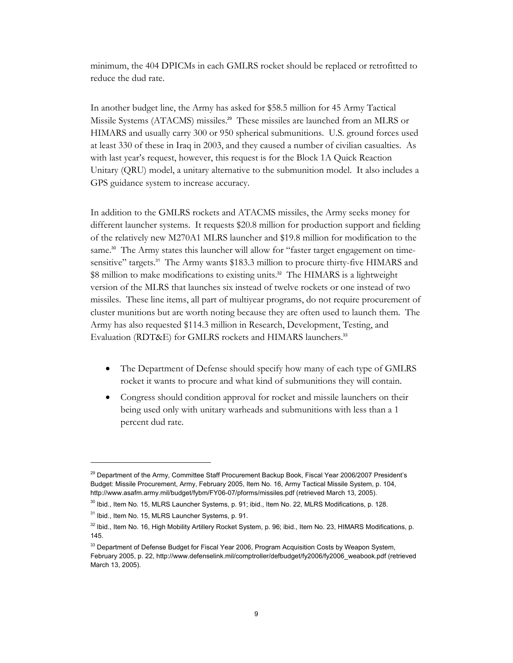minimum, the 404 DPICMs in each GMLRS rocket should be replaced or retrofitted to reduce the dud rate.

In another budget line, the Army has asked for \$58.5 million for 45 Army Tactical MissileSystems (ATACMS) missiles.<sup>29</sup> These missiles are launched from an MLRS or HIMARS and usually carry 300 or 950 spherical submunitions. U.S. ground forces used at least 330 of these in Iraq in 2003, and they caused a number of civilian casualties. As with last year's request, however, this request is for the Block 1A Quick Reaction Unitary (QRU) model, a unitary alternative to the submunition model. It also includes a GPS guidance system to increase accuracy.

In addition to the GMLRS rockets and ATACMS missiles, the Army seeks money for different launcher systems. It requests \$20.8 million for production support and fielding of the relatively new M270A1 MLRS launcher and \$19.8 million for modification to the same.<sup>[30](#page-8-1)</sup> The Army states this launcher will allow for "faster target engagement on timesensitive"targets.<sup>31</sup> The Army wants \$183.3 million to procure thirty-five HIMARS and \$8 million to make modifications to existing units.<sup>[32](#page-8-3)</sup> The HIMARS is a lightweight version of the MLRS that launches six instead of twelve rockets or one instead of two missiles. These line items, all part of multiyear programs, do not require procurement of cluster munitions but are worth noting because they are often used to launch them. The Army has also requested \$114.3 million in Research, Development, Testing, and Evaluation (RDT&E) for GMLRS rockets and HIMARS launchers.<sup>[33](#page-8-4)</sup>

- The Department of Defense should specify how many of each type of GMLRS rocket it wants to procure and what kind of submunitions they will contain.
- Congress should condition approval for rocket and missile launchers on their being used only with unitary warheads and submunitions with less than a 1 percent dud rate.

<span id="page-8-0"></span><sup>&</sup>lt;sup>29</sup> Department of the Army, Committee Staff Procurement Backup Book, Fiscal Year 2006/2007 President's Budget: Missile Procurement, Army, February 2005, Item No. 16, Army Tactical Missile System, p. 104, http://www.asafm.army.mil/budget/fybm/FY06-07/pforms/missiles.pdf (retrieved March 13, 2005).

<span id="page-8-1"></span><sup>30</sup> Ibid., Item No. 15, MLRS Launcher Systems, p. 91; ibid., Item No. 22, MLRS Modifications, p. 128.

<span id="page-8-2"></span><sup>31</sup> Ibid., Item No. 15, MLRS Launcher Systems, p. 91.

<span id="page-8-3"></span> $32$  Ibid., Item No. 16, High Mobility Artillery Rocket System, p. 96; ibid., Item No. 23, HIMARS Modifications, p. 145.

<span id="page-8-4"></span><sup>&</sup>lt;sup>33</sup> Department of Defense Budget for Fiscal Year 2006, Program Acquisition Costs by Weapon System, February 2005, p. 22, http://www.defenselink.mil/comptroller/defbudget/fy2006/fy2006\_weabook.pdf (retrieved March 13, 2005).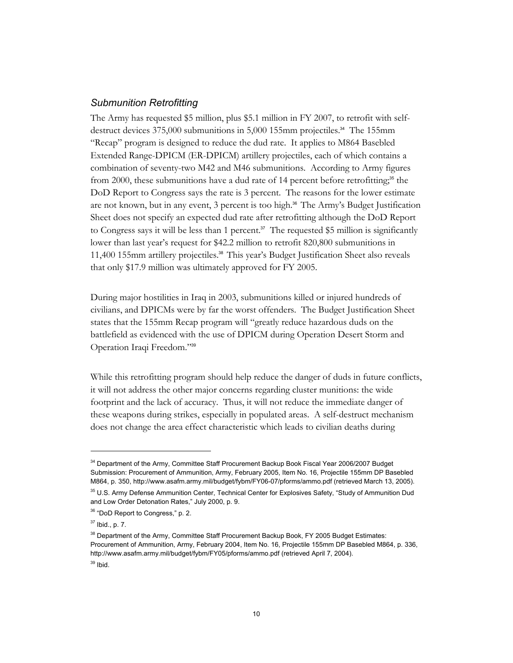#### <span id="page-9-0"></span>*Submunition Retrofitting*

The Army has requested \$5 million, plus \$5.1 million in FY 2007, to retrofit with selfdestructdevices 375,000 submunitions in 5,000 155mm projectiles.<sup>34</sup> The 155mm "Recap" program is designed to reduce the dud rate. It applies to M864 Basebled Extended Range-DPICM (ER-DPICM) artillery projectiles, each of which contains a combination of seventy-two M42 and M46 submunitions. According to Army figures from  $2000$ , these submunitions have a dud rate of 14 percent before retrofitting;<sup>[35](#page-9-2)</sup> the DoD Report to Congress says the rate is 3 percent. The reasons for the lower estimate are not known, but in any event, 3 percent is too high.<sup>36</sup> The Army's Budget Justification Sheet does not specify an expected dud rate after retrofitting although the DoD Report to Congress says it will be less than 1 percent.<sup>[37](#page-9-4)</sup> The requested \$5 million is significantly lower than last year's request for \$42.2 million to retrofit 820,800 submunitions in 11,400 155mm artillery projectiles.[38](#page-9-5) This year's Budget Justification Sheet also reveals that only \$17.9 million was ultimately approved for FY 2005.

During major hostilities in Iraq in 2003, submunitions killed or injured hundreds of civilians, and DPICMs were by far the worst offenders. The Budget Justification Sheet states that the 155mm Recap program will "greatly reduce hazardous duds on the battlefield as evidenced with the use of DPICM during Operation Desert Storm and Operation Iraqi Freedom."<sup>39</sup>

While this retrofitting program should help reduce the danger of duds in future conflicts, it will not address the other major concerns regarding cluster munitions: the wide footprint and the lack of accuracy. Thus, it will not reduce the immediate danger of these weapons during strikes, especially in populated areas. A self-destruct mechanism does not change the area effect characteristic which leads to civilian deaths during

<span id="page-9-1"></span><sup>&</sup>lt;sup>34</sup> Department of the Army, Committee Staff Procurement Backup Book Fiscal Year 2006/2007 Budget Submission: Procurement of Ammunition, Army, February 2005, Item No. 16, Projectile 155mm DP Basebled M864, p. 350, http://www.asafm.army.mil/budget/fybm/FY06-07/pforms/ammo.pdf (retrieved March 13, 2005).

<span id="page-9-2"></span><sup>&</sup>lt;sup>35</sup> U.S. Army Defense Ammunition Center, Technical Center for Explosives Safety, "Study of Ammunition Dud and Low Order Detonation Rates," July 2000, p. 9.

<span id="page-9-3"></span><sup>&</sup>lt;sup>36</sup> "DoD Report to Congress," p. 2.

<span id="page-9-4"></span> $37$  Ibid., p. 7.

<span id="page-9-6"></span><span id="page-9-5"></span><sup>&</sup>lt;sup>38</sup> Department of the Army, Committee Staff Procurement Backup Book, FY 2005 Budget Estimates: Procurement of Ammunition, Army, February 2004, Item No. 16, Projectile 155mm DP Basebled M864, p. 336, http://www.asafm.army.mil/budget/fybm/FY05/pforms/ammo.pdf (retrieved April 7, 2004).  $39$  Ibid.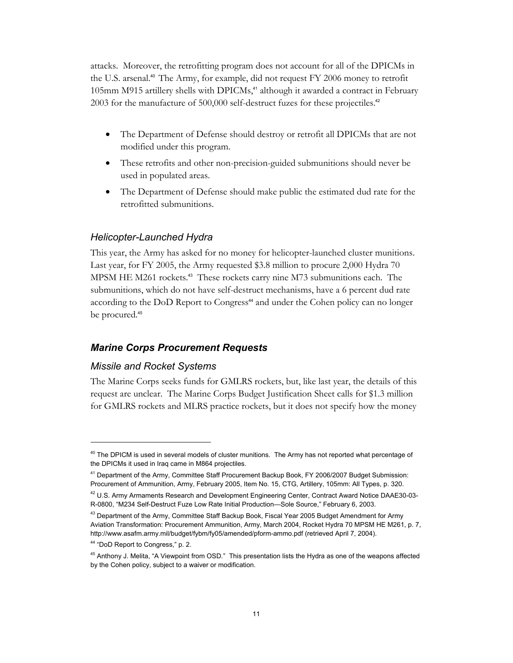<span id="page-10-0"></span>attacks. Moreover, the retrofitting program does not account for all of the DPICMs in the U.S. arsenal.[40](#page-10-1) The Army, for example, did not request FY 2006 money to retrofit 105mm M915 artillery shells with DPICMs,41although it awarded a contract in February 2003 for the manufacture of 500,000 self-destruct fuzes for these projectiles.<sup>[42](#page-10-3)</sup>

- The Department of Defense should destroy or retrofit all DPICMs that are not modified under this program.
- These retrofits and other non-precision-guided submunitions should never be used in populated areas.
- The Department of Defense should make public the estimated dud rate for the retrofitted submunitions.

## *Helicopter-Launched Hydra*

This year, the Army has asked for no money for helicopter-launched cluster munitions. Last year, for FY 2005, the Army requested \$3.8 million to procure 2,000 Hydra 70 MPSM HE M261 rockets. [43](#page-10-4) These rockets carry nine M73 submunitions each. The submunitions, which do not have self-destruct mechanisms, have a 6 percent dud rate according to the DoD Report to Congress<sup>[44](#page-10-5)</sup> and under the Cohen policy can no longer be procured.<sup>[45](#page-10-6)</sup>

## *Marine Corps Procurement Requests*

#### *Missile and Rocket Systems*

The Marine Corps seeks funds for GMLRS rockets, but, like last year, the details of this request are unclear. The Marine Corps Budget Justification Sheet calls for \$1.3 million for GMLRS rockets and MLRS practice rockets, but it does not specify how the money

<span id="page-10-1"></span><sup>&</sup>lt;sup>40</sup> The DPICM is used in several models of cluster munitions. The Army has not reported what percentage of the DPICMs it used in Iraq came in M864 projectiles.

<span id="page-10-2"></span><sup>41</sup> Department of the Army, Committee Staff Procurement Backup Book, FY 2006/2007 Budget Submission: Procurement of Ammunition, Army, February 2005, Item No. 15, CTG, Artillery, 105mm: All Types, p. 320.

<span id="page-10-3"></span><sup>&</sup>lt;sup>42</sup> U.S. Army Armaments Research and Development Engineering Center, Contract Award Notice DAAE30-03-R-0800, "M234 Self-Destruct Fuze Low Rate Initial Production—Sole Source," February 6, 2003.

<span id="page-10-4"></span><sup>&</sup>lt;sup>43</sup> Department of the Army, Committee Staff Backup Book, Fiscal Year 2005 Budget Amendment for Army Aviation Transformation: Procurement Ammunition, Army, March 2004, Rocket Hydra 70 MPSM HE M261, p. 7, http://www.asafm.army.mil/budget/fybm/fy05/amended/pform-ammo.pdf (retrieved April 7, 2004).

<span id="page-10-5"></span><sup>44 &</sup>quot;DoD Report to Congress," p. 2.

<span id="page-10-6"></span><sup>&</sup>lt;sup>45</sup> Anthony J. Melita, "A Viewpoint from OSD." This presentation lists the Hydra as one of the weapons affected by the Cohen policy, subject to a waiver or modification.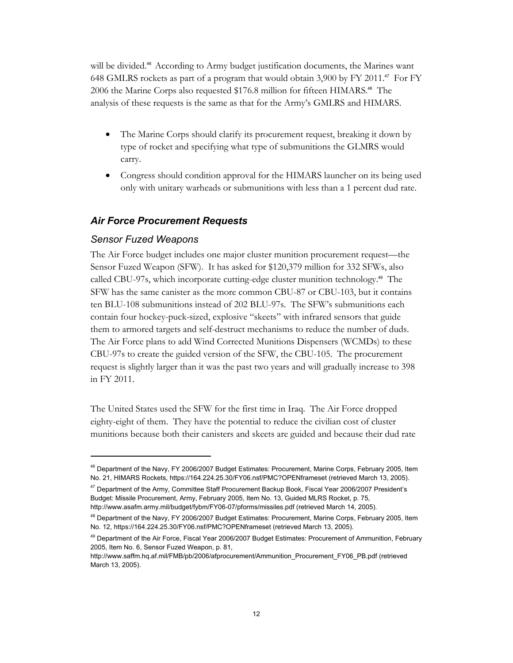<span id="page-11-0"></span>will be divided.<sup>46</sup> According to Army budget justification documents, the Marines want 648 GMLRS rockets as part of a program that would obtain 3,900 by FY 2011.47For FY 2006the Marine Corps also requested \$176.8 million for fifteen HIMARS.<sup>48</sup> The analysis of these requests is the same as that for the Army's GMLRS and HIMARS.

- The Marine Corps should clarify its procurement request, breaking it down by type of rocket and specifying what type of submunitions the GLMRS would carry.
- Congress should condition approval for the HIMARS launcher on its being used only with unitary warheads or submunitions with less than a 1 percent dud rate.

## *Air Force Procurement Requests*

#### *Sensor Fuzed Weapons*

-

The Air Force budget includes one major cluster munition procurement request—the Sensor Fuzed Weapon (SFW). It has asked for \$120,379 million for 332 SFWs, also called CBU-97s, which incorporate cutting-edge cluster munition technology.49The SFW has the same canister as the more common CBU-87 or CBU-103, but it contains ten BLU-108 submunitions instead of 202 BLU-97s. The SFW's submunitions each contain four hockey-puck-sized, explosive "skeets" with infrared sensors that guide them to armored targets and self-destruct mechanisms to reduce the number of duds. The Air Force plans to add Wind Corrected Munitions Dispensers (WCMDs) to these CBU-97s to create the guided version of the SFW, the CBU-105. The procurement request is slightly larger than it was the past two years and will gradually increase to 398 in FY 2011.

The United States used the SFW for the first time in Iraq. The Air Force dropped eighty-eight of them. They have the potential to reduce the civilian cost of cluster munitions because both their canisters and skeets are guided and because their dud rate

<span id="page-11-1"></span><sup>&</sup>lt;sup>46</sup> Department of the Navy, FY 2006/2007 Budget Estimates: Procurement, Marine Corps, February 2005, Item No. 21, HIMARS Rockets, https://164.224.25.30/FY06.nsf/PMC?OPENframeset (retrieved March 13, 2005).

<span id="page-11-2"></span><sup>&</sup>lt;sup>47</sup> Department of the Army, Committee Staff Procurement Backup Book, Fiscal Year 2006/2007 President's Budget: Missile Procurement, Army, February 2005, Item No. 13, Guided MLRS Rocket, p. 75, http://www.asafm.army.mil/budget/fybm/FY06-07/pforms/missiles.pdf (retrieved March 14, 2005).

<span id="page-11-3"></span><sup>48</sup> Department of the Navy, FY 2006/2007 Budget Estimates: Procurement, Marine Corps, February 2005, Item No. 12, https://164.224.25.30/FY06.nsf/PMC?OPENframeset (retrieved March 13, 2005).

<span id="page-11-4"></span><sup>&</sup>lt;sup>49</sup> Department of the Air Force, Fiscal Year 2006/2007 Budget Estimates: Procurement of Ammunition, February 2005, Item No. 6, Sensor Fuzed Weapon, p. 81,

http://www.saffm.hq.af.mil/FMB/pb/2006/afprocurement/Ammunition\_Procurement\_FY06\_PB.pdf (retrieved March 13, 2005).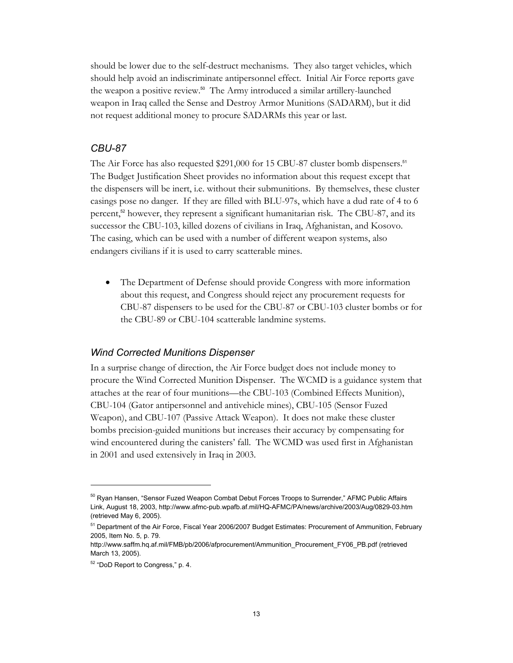<span id="page-12-0"></span>should be lower due to the self-destruct mechanisms. They also target vehicles, which should help avoid an indiscriminate antipersonnel effect. Initial Air Force reports gave theweapon a positive review.<sup>50</sup> The Army introduced a similar artillery-launched weapon in Iraq called the Sense and Destroy Armor Munitions (SADARM), but it did not request additional money to procure SADARMs this year or last.

#### *CBU-87*

TheAir Force has also requested \$291,000 for 15 CBU-87 cluster bomb dispensers.<sup>51</sup> The Budget Justification Sheet provides no information about this request except that the dispensers will be inert, i.e. without their submunitions. By themselves, these cluster casings pose no danger. If they are filled with BLU-97s, which have a dud rate of 4 to 6 percent,<sup>[52](#page-12-3)</sup> however, they represent a significant humanitarian risk. The CBU-87, and its successor the CBU-103, killed dozens of civilians in Iraq, Afghanistan, and Kosovo. The casing, which can be used with a number of different weapon systems, also endangers civilians if it is used to carry scatterable mines.

• The Department of Defense should provide Congress with more information about this request, and Congress should reject any procurement requests for CBU-87 dispensers to be used for the CBU-87 or CBU-103 cluster bombs or for the CBU-89 or CBU-104 scatterable landmine systems.

#### *Wind Corrected Munitions Dispenser*

In a surprise change of direction, the Air Force budget does not include money to procure the Wind Corrected Munition Dispenser. The WCMD is a guidance system that attaches at the rear of four munitions—the CBU-103 (Combined Effects Munition), CBU-104 (Gator antipersonnel and antivehicle mines), CBU-105 (Sensor Fuzed Weapon), and CBU-107 (Passive Attack Weapon). It does not make these cluster bombs precision-guided munitions but increases their accuracy by compensating for wind encountered during the canisters' fall. The WCMD was used first in Afghanistan in 2001 and used extensively in Iraq in 2003.

<span id="page-12-1"></span><sup>&</sup>lt;sup>50</sup> Ryan Hansen, "Sensor Fuzed Weapon Combat Debut Forces Troops to Surrender," AFMC Public Affairs Link, August 18, 2003, http://www.afmc-pub.wpafb.af.mil/HQ-AFMC/PA/news/archive/2003/Aug/0829-03.htm (retrieved May 6, 2005).

<span id="page-12-2"></span><sup>&</sup>lt;sup>51</sup> Department of the Air Force, Fiscal Year 2006/2007 Budget Estimates: Procurement of Ammunition, February 2005, Item No. 5, p. 79.

http://www.saffm.hq.af.mil/FMB/pb/2006/afprocurement/Ammunition\_Procurement\_FY06\_PB.pdf (retrieved March 13, 2005).

<span id="page-12-3"></span><sup>52 &</sup>quot;DoD Report to Congress," p. 4.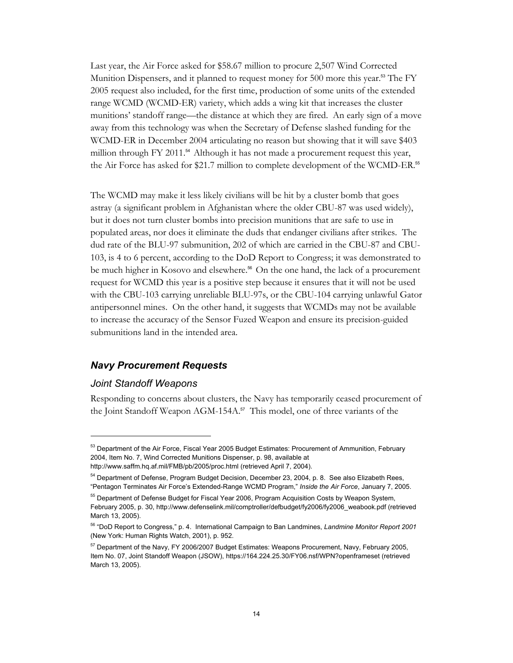<span id="page-13-0"></span>Last year, the Air Force asked for \$58.67 million to procure 2,507 Wind Corrected Munition Dispensers, and it planned to request money for 500 more this year.<sup>53</sup> [T](#page-13-1)he FY 2005 request also included, for the first time, production of some units of the extended range WCMD (WCMD-ER) variety, which adds a wing kit that increases the cluster munitions' standoff range—the distance at which they are fired. An early sign of a move away from this technology was when the Secretary of Defense slashed funding for the WCMD-ER in December 2004 articulating no reason but showing that it will save \$403 million through FY 2011.<sup>54</sup> Although it has not made a procurement request this year, the Air Force has asked for \$21.7 million to complete development of the WCMD-ER.[55](#page-13-3)

The WCMD may make it less likely civilians will be hit by a cluster bomb that goes astray (a significant problem in Afghanistan where the older CBU-87 was used widely), but it does not turn cluster bombs into precision munitions that are safe to use in populated areas, nor does it eliminate the duds that endanger civilians after strikes. The dud rate of the BLU-97 submunition, 202 of which are carried in the CBU-87 and CBU-103, is 4 to 6 percent, according to the DoD Report to Congress; it was demonstrated to be much higher in Kosovo and elsewhere.<sup>56</sup> On the one hand, the lack of a procurement request for WCMD this year is a positive step because it ensures that it will not be used with the CBU-103 carrying unreliable BLU-97s, or the CBU-104 carrying unlawful Gator antipersonnel mines. On the other hand, it suggests that WCMDs may not be available to increase the accuracy of the Sensor Fuzed Weapon and ensure its precision-guided submunitions land in the intended area.

## *Navy Procurement Requests*

#### *Joint Standoff Weapons*

 $\overline{a}$ 

Responding to concerns about clusters, the Navy has temporarily ceased procurement of the Joint Standoff Weapon AGM-154A.<sup>[57](#page-13-5)</sup> This model, one of three variants of the

<span id="page-13-1"></span><sup>&</sup>lt;sup>53</sup> Department of the Air Force, Fiscal Year 2005 Budget Estimates: Procurement of Ammunition, February 2004, Item No. 7, Wind Corrected Munitions Dispenser, p. 98, available at

http://www.saffm.hq.af.mil/FMB/pb/2005/proc.html (retrieved April 7, 2004).

<span id="page-13-2"></span><sup>&</sup>lt;sup>54</sup> Department of Defense, Program Budget Decision, December 23, 2004, p. 8. See also Elizabeth Rees, "Pentagon Terminates Air Force's Extended-Range WCMD Program," *Inside the Air Force*, January 7, 2005.

<span id="page-13-3"></span><sup>&</sup>lt;sup>55</sup> Department of Defense Budget for Fiscal Year 2006, Program Acquisition Costs by Weapon System, February 2005, p. 30, http://www.defenselink.mil/comptroller/defbudget/fy2006/fy2006\_weabook.pdf (retrieved March 13, 2005).

<span id="page-13-4"></span><sup>56 &</sup>quot;DoD Report to Congress," p. 4. International Campaign to Ban Landmines, *Landmine Monitor Report 2001* (New York: Human Rights Watch, 2001), p. 952.

<span id="page-13-5"></span><sup>&</sup>lt;sup>57</sup> Department of the Navy, FY 2006/2007 Budget Estimates: Weapons Procurement, Navy, February 2005, Item No. 07, Joint Standoff Weapon (JSOW), https://164.224.25.30/FY06.nsf/WPN?openframeset (retrieved March 13, 2005).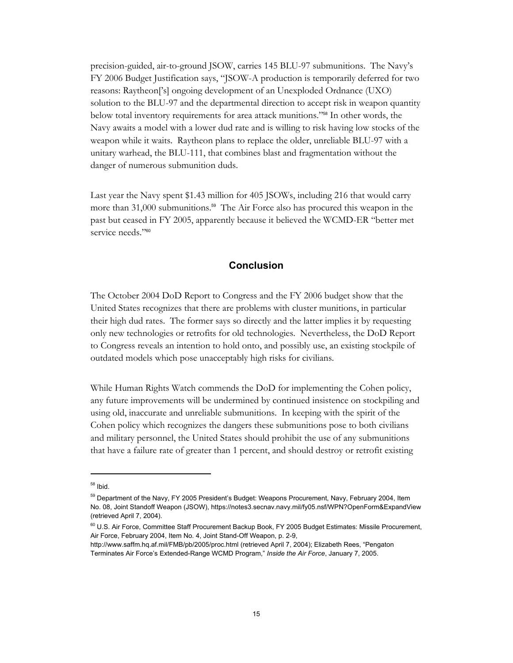<span id="page-14-0"></span>precision-guided, air-to-ground JSOW, carries 145 BLU-97 submunitions. The Navy's FY 2006 Budget Justification says, "JSOW-A production is temporarily deferred for two reasons: Raytheon['s] ongoing development of an Unexploded Ordnance (UXO) solution to the BLU-97 and the departmental direction to accept risk in weapon quantity below total inventory requirements for area attack munitions."58In other words, the Navy awaits a model with a lower dud rate and is willing to risk having low stocks of the weapon while it waits. Raytheon plans to replace the older, unreliable BLU-97 with a unitary warhead, the BLU-111, that combines blast and fragmentation without the danger of numerous submunition duds.

Last year the Navy spent \$1.43 million for 405 JSOWs, including 216 that would carry morethan  $31,000$  submunitions.<sup>59</sup> The Air Force also has procured this weapon in the past but ceased in FY 2005, apparently because it believed the WCMD-ER "better met serviceneeds."<sup>60</sup>

### **Conclusion**

The October 2004 DoD Report to Congress and the FY 2006 budget show that the United States recognizes that there are problems with cluster munitions, in particular their high dud rates. The former says so directly and the latter implies it by requesting only new technologies or retrofits for old technologies. Nevertheless, the DoD Report to Congress reveals an intention to hold onto, and possibly use, an existing stockpile of outdated models which pose unacceptably high risks for civilians.

While Human Rights Watch commends the DoD for implementing the Cohen policy, any future improvements will be undermined by continued insistence on stockpiling and using old, inaccurate and unreliable submunitions. In keeping with the spirit of the Cohen policy which recognizes the dangers these submunitions pose to both civilians and military personnel, the United States should prohibit the use of any submunitions that have a failure rate of greater than 1 percent, and should destroy or retrofit existing

<span id="page-14-1"></span><sup>58</sup> Ibid.

<span id="page-14-2"></span><sup>&</sup>lt;sup>59</sup> Department of the Navy, FY 2005 President's Budget: Weapons Procurement, Navy, February 2004, Item No. 08, Joint Standoff Weapon (JSOW), https://notes3.secnav.navy.mil/fy05.nsf/WPN?OpenForm&ExpandView (retrieved April 7, 2004).

<span id="page-14-3"></span><sup>&</sup>lt;sup>60</sup> U.S. Air Force, Committee Staff Procurement Backup Book, FY 2005 Budget Estimates: Missile Procurement, Air Force, February 2004, Item No. 4, Joint Stand-Off Weapon, p. 2-9,

http://www.saffm.hq.af.mil/FMB/pb/2005/proc.html (retrieved April 7, 2004); Elizabeth Rees, "Pengaton Terminates Air Force's Extended-Range WCMD Program," *Inside the Air Force*, January 7, 2005.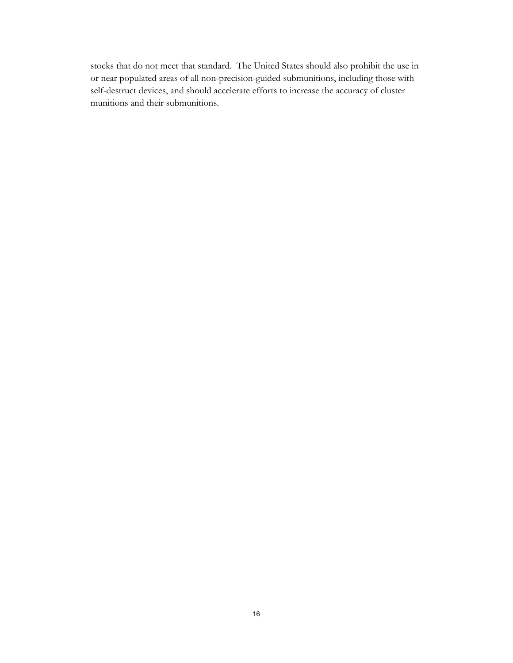stocks that do not meet that standard. The United States should also prohibit the use in or near populated areas of all non-precision-guided submunitions, including those with self-destruct devices, and should accelerate efforts to increase the accuracy of cluster munitions and their submunitions.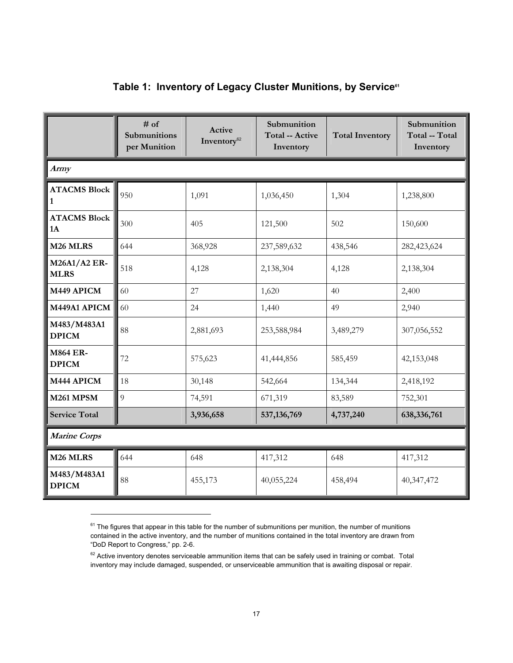<span id="page-16-0"></span>

|                                     | $#$ of<br>Submunitions<br>per Munition | Active<br>Inventory <sup>62</sup> | Submunition<br><b>Total -- Active</b><br>Inventory | <b>Total Inventory</b> | Submunition<br>Total -- Total<br>Inventory |  |
|-------------------------------------|----------------------------------------|-----------------------------------|----------------------------------------------------|------------------------|--------------------------------------------|--|
| Army                                |                                        |                                   |                                                    |                        |                                            |  |
| <b>ATACMS Block</b><br>$\mathbf{1}$ | 950                                    | 1,091                             | 1,036,450                                          | 1,304                  | 1,238,800                                  |  |
| <b>ATACMS Block</b><br>1A           | 300                                    | 405                               | 121,500                                            | 502                    | 150,600                                    |  |
| M <sub>26</sub> MLRS                | 644                                    | 368,928                           | 237,589,632                                        | 438,546                | 282,423,624                                |  |
| <b>M26A1/A2 ER-</b><br><b>MLRS</b>  | 518                                    | 4,128                             | 2,138,304                                          | 4,128                  | 2,138,304                                  |  |
| M449 APICM                          | 60                                     | 27                                | 1,620                                              | 40                     | 2,400                                      |  |
| M449A1 APICM                        | 60                                     | 24                                | 1,440                                              | 49                     | 2,940                                      |  |
| M483/M483A1<br><b>DPICM</b>         | 88                                     | 2,881,693                         | 253,588,984                                        | 3,489,279              | 307,056,552                                |  |
| <b>M864 ER-</b><br><b>DPICM</b>     | 72                                     | 575,623                           | 41,444,856                                         | 585,459                | 42,153,048                                 |  |
| M444 APICM                          | 18                                     | 30,148                            | 542,664                                            | 134,344                | 2,418,192                                  |  |
| <b>M261 MPSM</b>                    | $\overline{9}$                         | 74,591                            | 671,319                                            | 83,589                 | 752,301                                    |  |
| <b>Service Total</b>                |                                        | 3,936,658                         | 537, 136, 769                                      | 4,737,240              | 638,336,761                                |  |
| <b>Marine Corps</b>                 |                                        |                                   |                                                    |                        |                                            |  |
| M <sub>26</sub> MLRS                | 644                                    | 648                               | 417,312                                            | 648                    | 417,312                                    |  |
| M483/M483A1<br><b>DPICM</b>         | 88                                     | 455,173                           | 40,055,224                                         | 458,494                | 40,347,472                                 |  |

## Table 1: Inventory of Legacy Cluster Munitions, by Service<sup>61</sup>

<span id="page-16-1"></span> $61$  The figures that appear in this table for the number of submunitions per munition, the number of munitions contained in the active inventory, and the number of munitions contained in the total inventory are drawn from "DoD Report to Congress," pp. 2-6.

<span id="page-16-2"></span> $62$  Active inventory denotes serviceable ammunition items that can be safely used in training or combat. Total inventory may include damaged, suspended, or unserviceable ammunition that is awaiting disposal or repair.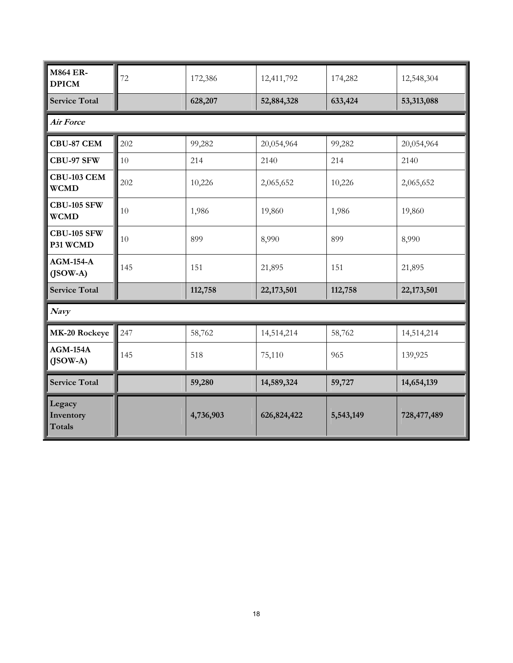| <b>M864 ER-</b><br><b>DPICM</b>   | 72     | 172,386   | 12,411,792  | 174,282   | 12,548,304  |  |
|-----------------------------------|--------|-----------|-------------|-----------|-------------|--|
| <b>Service Total</b>              |        | 628,207   | 52,884,328  | 633,424   | 53,313,088  |  |
| <b>Air Force</b>                  |        |           |             |           |             |  |
| <b>CBU-87 CEM</b>                 | 202    | 99,282    | 20,054,964  | 99,282    | 20,054,964  |  |
| CBU-97 SFW                        | $10\,$ | 214       | 2140        | 214       | 2140        |  |
| CBU-103 CEM<br><b>WCMD</b>        | 202    | 10,226    | 2,065,652   | 10,226    | 2,065,652   |  |
| <b>CBU-105 SFW</b><br><b>WCMD</b> | 10     | 1,986     | 19,860      | 1,986     | 19,860      |  |
| <b>CBU-105 SFW</b><br>P31 WCMD    | 10     | 899       | 8,990       | 899       | 8,990       |  |
| $AGM-154-A$<br>$($ JSOW-A $)$     | 145    | 151       | 21,895      | 151       | 21,895      |  |
| <b>Service Total</b>              |        | 112,758   | 22,173,501  | 112,758   | 22,173,501  |  |
| Navy                              |        |           |             |           |             |  |
| MK-20 Rockeye                     | 247    | 58,762    | 14,514,214  | 58,762    | 14,514,214  |  |
| $AGM-154A$<br>$($ JSOW-A $)$      | 145    | 518       | 75,110      | 965       | 139,925     |  |
| <b>Service Total</b>              |        | 59,280    | 14,589,324  | 59,727    | 14,654,139  |  |
| Legacy<br>Inventory<br>Totals     |        | 4,736,903 | 626,824,422 | 5,543,149 | 728,477,489 |  |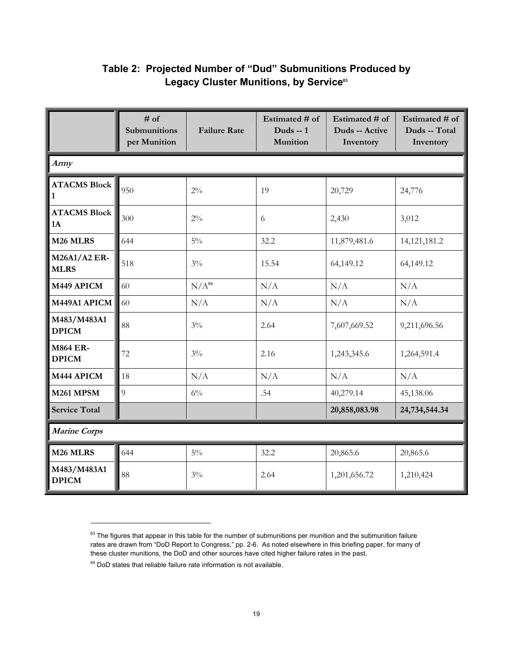<span id="page-18-0"></span>

|                                     | $#$ of<br>Submunitions<br>per Munition | <b>Failure Rate</b> | Estimated # of<br>Duds $-1$<br>Munition | Estimated # of<br>Duds -- Active<br>Inventory | Estimated # of<br>Duds -- Total<br>Inventory |  |
|-------------------------------------|----------------------------------------|---------------------|-----------------------------------------|-----------------------------------------------|----------------------------------------------|--|
| Army                                |                                        |                     |                                         |                                               |                                              |  |
| <b>ATACMS Block</b><br>$\mathbf{1}$ | 950                                    | $2\%$               | 19                                      | 20,729                                        | 24,776                                       |  |
| <b>ATACMS Block</b><br>1A           | 300                                    | $2\%$               | 6                                       | 2,430                                         | 3,012                                        |  |
| M <sub>26</sub> MLRS                | 644                                    | $5\%$               | 32.2                                    | 11,879,481.6                                  | 14, 121, 181. 2                              |  |
| <b>M26A1/A2 ER-</b><br><b>MLRS</b>  | 518                                    | $3\%$               | 15.54                                   | 64,149.12                                     | 64,149.12                                    |  |
| M449 APICM                          | 60                                     | $N/A^{64}$          | N/A                                     | N/A                                           | N/A                                          |  |
| M449A1 APICM                        | 60                                     | N/A                 | N/A                                     | N/A                                           | N/A                                          |  |
| M483/M483A1<br><b>DPICM</b>         | 88                                     | $3\%$               | 2.64                                    | 7,607,669.52                                  | 9,211,696.56                                 |  |
| <b>M864 ER-</b><br><b>DPICM</b>     | 72                                     | $3\%$               | 2.16                                    | 1,243,345.6                                   | 1,264,591.4                                  |  |
| M444 APICM                          | 18                                     | N/A                 | N/A                                     | N/A                                           | N/A                                          |  |
| <b>M261 MPSM</b>                    | $\overline{Q}$                         | $6\%$               | .54                                     | 40,279.14                                     | 45,138.06                                    |  |
| <b>Service Total</b>                |                                        |                     |                                         | 20,858,083.98                                 | 24,734,544.34                                |  |
| <b>Marine Corps</b>                 |                                        |                     |                                         |                                               |                                              |  |
| M <sub>26</sub> MLRS                | 644                                    | $5\%$               | 32.2                                    | 20,865.6                                      | 20,865.6                                     |  |
| M483/M483A1<br><b>DPICM</b>         | 88                                     | $3\%$               | 2.64                                    | 1,201,656.72                                  | 1,210,424                                    |  |

## **Table 2: Projected Number of "Dud" Submunitions Produced by Legacy Cluster Munitions, by Service[63](#page-18-1)**

<span id="page-18-1"></span> $63$  The figures that appear in this table for the number of submunitions per munition and the submunition failure rates are drawn from "DoD Report to Congress," pp. 2-6. As noted elsewhere in this briefing paper, for many of these cluster munitions, the DoD and other sources have cited higher failure rates in the past.

<span id="page-18-2"></span> $64$  DoD states that reliable failure rate information is not available.